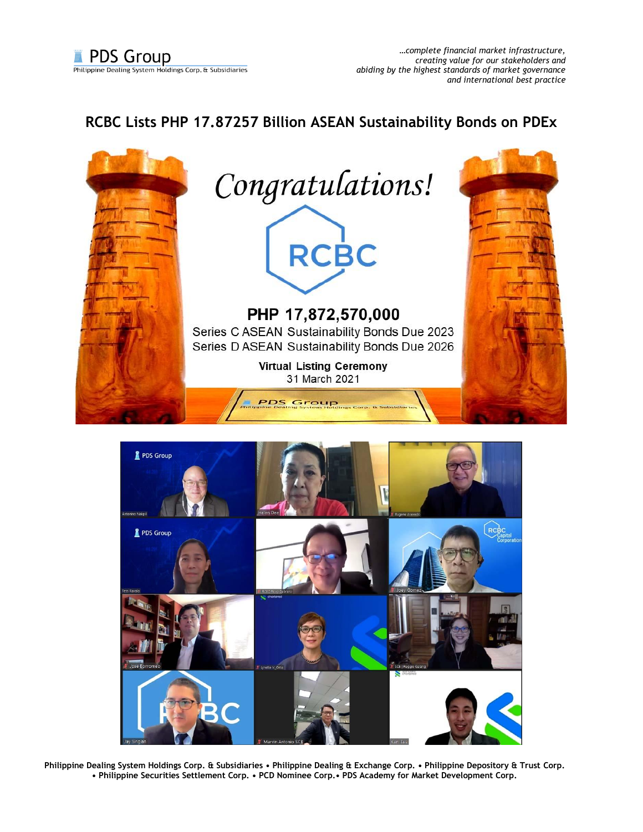

## **RCBC Lists PHP 17.87257 Billion ASEAN Sustainability Bonds on PDEx**





**Philippine Dealing System Holdings Corp. & Subsidiaries • Philippine Dealing & Exchange Corp. • Philippine Depository & Trust Corp. • Philippine Securities Settlement Corp. • PCD Nominee Corp.• PDS Academy for Market Development Corp.**